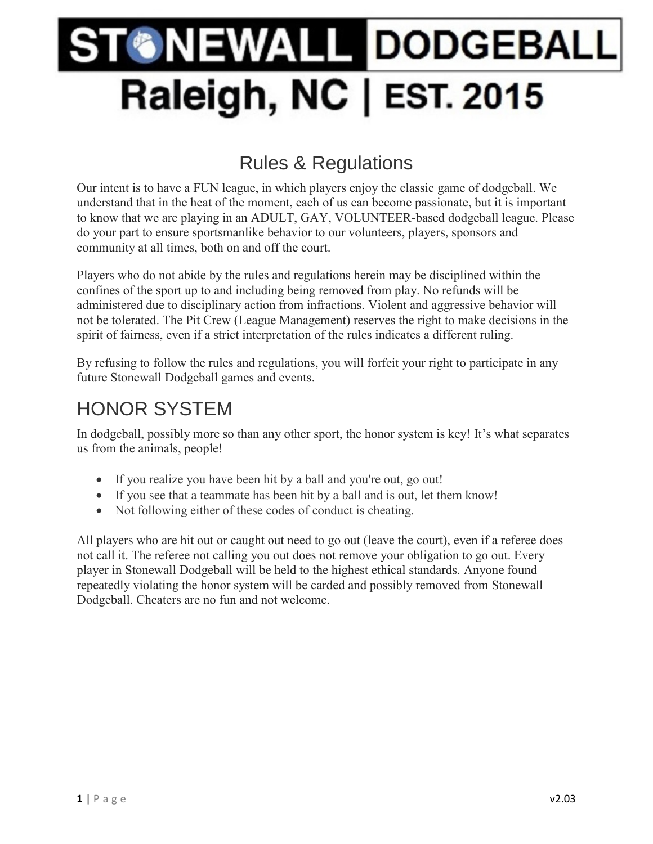# **ONEWALL DODGEBALL** Raleigh, NC | EST. 2015

# Rules & Regulations

Our intent is to have a FUN league, in which players enjoy the classic game of dodgeball. We understand that in the heat of the moment, each of us can become passionate, but it is important to know that we are playing in an ADULT, GAY, VOLUNTEER-based dodgeball league. Please do your part to ensure sportsmanlike behavior to our volunteers, players, sponsors and community at all times, both on and off the court.

Players who do not abide by the rules and regulations herein may be disciplined within the confines of the sport up to and including being removed from play. No refunds will be administered due to disciplinary action from infractions. Violent and aggressive behavior will not be tolerated. The Pit Crew (League Management) reserves the right to make decisions in the spirit of fairness, even if a strict interpretation of the rules indicates a different ruling.

By refusing to follow the rules and regulations, you will forfeit your right to participate in any future Stonewall Dodgeball games and events.

### HONOR SYSTEM

In dodgeball, possibly more so than any other sport, the honor system is key! It's what separates us from the animals, people!

- If you realize you have been hit by a ball and you're out, go out!
- If you see that a teammate has been hit by a ball and is out, let them know!
- Not following either of these codes of conduct is cheating.

All players who are hit out or caught out need to go out (leave the court), even if a referee does not call it. The referee not calling you out does not remove your obligation to go out. Every player in Stonewall Dodgeball will be held to the highest ethical standards. Anyone found repeatedly violating the honor system will be carded and possibly removed from Stonewall Dodgeball. Cheaters are no fun and not welcome.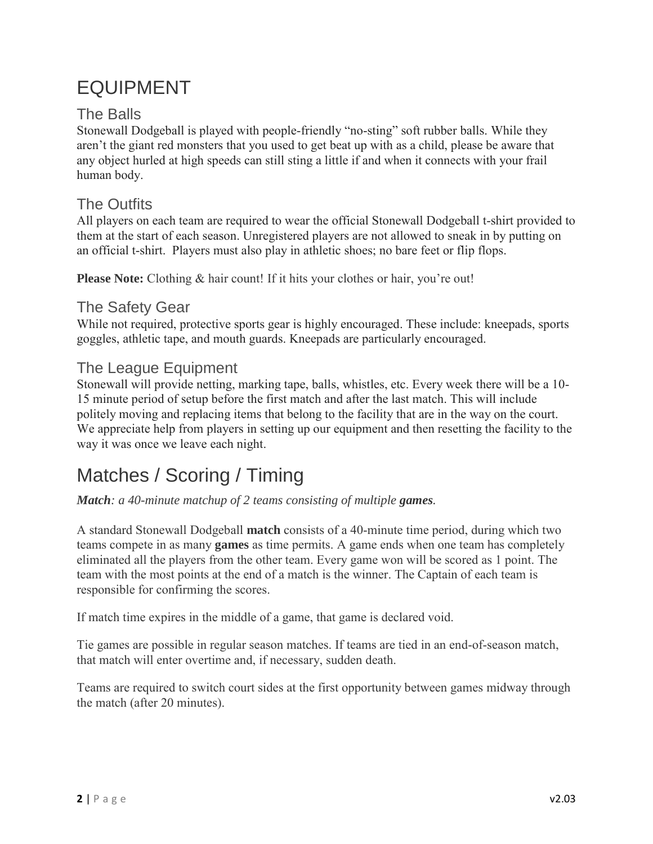# EQUIPMENT

#### The Balls

Stonewall Dodgeball is played with people-friendly "no-sting" soft rubber balls. While they aren't the giant red monsters that you used to get beat up with as a child, please be aware that any object hurled at high speeds can still sting a little if and when it connects with your frail human body.

#### The Outfits

All players on each team are required to wear the official Stonewall Dodgeball t-shirt provided to them at the start of each season. Unregistered players are not allowed to sneak in by putting on an official t-shirt. Players must also play in athletic shoes; no bare feet or flip flops.

**Please Note:** Clothing & hair count! If it hits your clothes or hair, you're out!

#### The Safety Gear

While not required, protective sports gear is highly encouraged. These include: kneepads, sports goggles, athletic tape, and mouth guards. Kneepads are particularly encouraged.

#### The League Equipment

Stonewall will provide netting, marking tape, balls, whistles, etc. Every week there will be a 10- 15 minute period of setup before the first match and after the last match. This will include politely moving and replacing items that belong to the facility that are in the way on the court. We appreciate help from players in setting up our equipment and then resetting the facility to the way it was once we leave each night.

### Matches / Scoring / Timing

*Match: a 40-minute matchup of 2 teams consisting of multiple games.*

A standard Stonewall Dodgeball **match** consists of a 40-minute time period, during which two teams compete in as many **games** as time permits. A game ends when one team has completely eliminated all the players from the other team. Every game won will be scored as 1 point. The team with the most points at the end of a match is the winner. The Captain of each team is responsible for confirming the scores.

If match time expires in the middle of a game, that game is declared void.

Tie games are possible in regular season matches. If teams are tied in an end-of-season match, that match will enter overtime and, if necessary, sudden death.

Teams are required to switch court sides at the first opportunity between games midway through the match (after 20 minutes).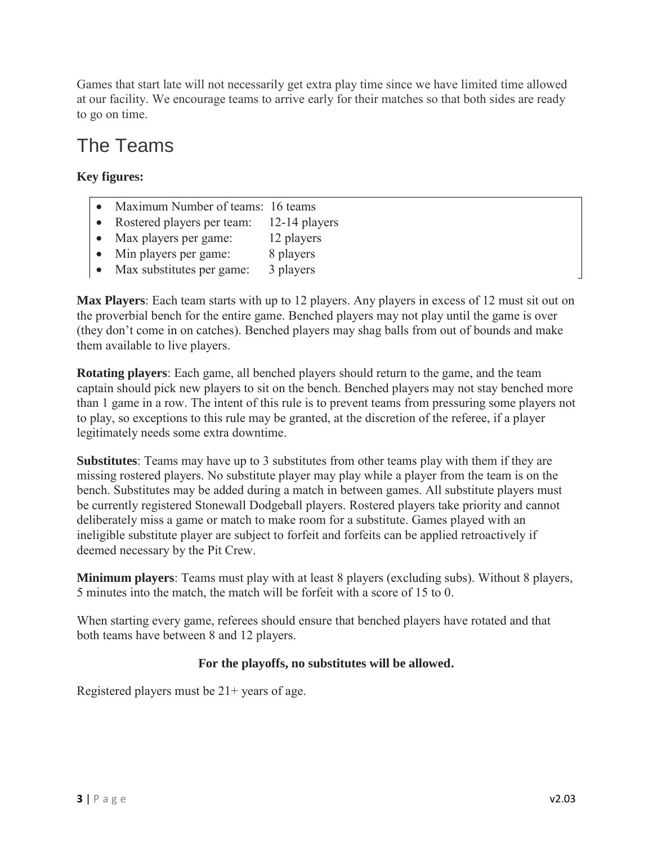Games that start late will not necessarily get extra play time since we have limited time allowed at our facility. We encourage teams to arrive early for their matches so that both sides are ready to go on time.

#### The Teams

#### **Key figures:**

- Maximum Number of teams: 16 teams
- Rostered players per team: 12-14 players
- Max players per game: 12 players
- Min players per game: 8 players
- Max substitutes per game: 3 players

**Max Players**: Each team starts with up to 12 players. Any players in excess of 12 must sit out on the proverbial bench for the entire game. Benched players may not play until the game is over (they don't come in on catches). Benched players may shag balls from out of bounds and make them available to live players.

**Rotating players**: Each game, all benched players should return to the game, and the team captain should pick new players to sit on the bench. Benched players may not stay benched more than 1 game in a row. The intent of this rule is to prevent teams from pressuring some players not to play, so exceptions to this rule may be granted, at the discretion of the referee, if a player legitimately needs some extra downtime.

**Substitutes**: Teams may have up to 3 substitutes from other teams play with them if they are missing rostered players. No substitute player may play while a player from the team is on the bench. Substitutes may be added during a match in between games. All substitute players must be currently registered Stonewall Dodgeball players. Rostered players take priority and cannot deliberately miss a game or match to make room for a substitute. Games played with an ineligible substitute player are subject to forfeit and forfeits can be applied retroactively if deemed necessary by the Pit Crew.

**Minimum players**: Teams must play with at least 8 players (excluding subs). Without 8 players, 5 minutes into the match, the match will be forfeit with a score of 15 to 0.

When starting every game, referees should ensure that benched players have rotated and that both teams have between 8 and 12 players.

#### **For the playoffs, no substitutes will be allowed.**

Registered players must be 21+ years of age.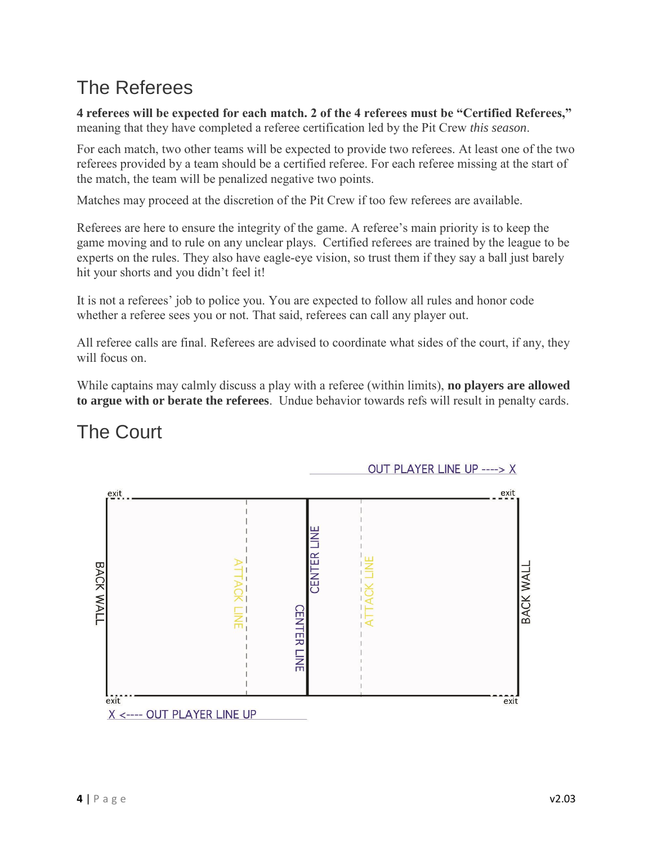### The Referees

**4 referees will be expected for each match. 2 of the 4 referees must be "Certified Referees,"**  meaning that they have completed a referee certification led by the Pit Crew *this season*.

For each match, two other teams will be expected to provide two referees. At least one of the two referees provided by a team should be a certified referee. For each referee missing at the start of the match, the team will be penalized negative two points.

Matches may proceed at the discretion of the Pit Crew if too few referees are available.

Referees are here to ensure the integrity of the game. A referee's main priority is to keep the game moving and to rule on any unclear plays. Certified referees are trained by the league to be experts on the rules. They also have eagle-eye vision, so trust them if they say a ball just barely hit your shorts and you didn't feel it!

It is not a referees' job to police you. You are expected to follow all rules and honor code whether a referee sees you or not. That said, referees can call any player out.

All referee calls are final. Referees are advised to coordinate what sides of the court, if any, they will focus on.

While captains may calmly discuss a play with a referee (within limits), **no players are allowed to argue with or berate the referees**. Undue behavior towards refs will result in penalty cards.

### The Court

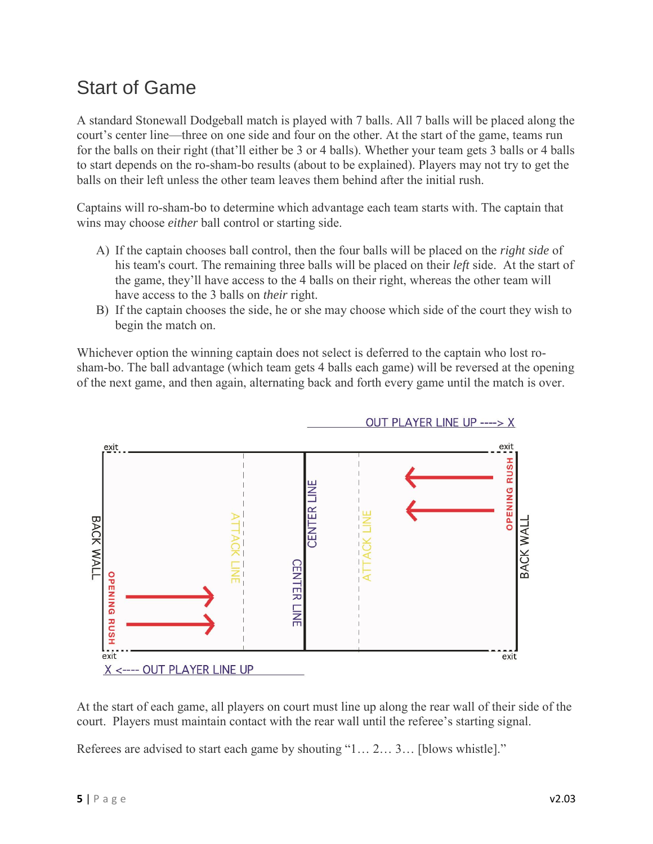#### Start of Game

A standard Stonewall Dodgeball match is played with 7 balls. All 7 balls will be placed along the court's center line—three on one side and four on the other. At the start of the game, teams run for the balls on their right (that'll either be 3 or 4 balls). Whether your team gets 3 balls or 4 balls to start depends on the ro-sham-bo results (about to be explained). Players may not try to get the balls on their left unless the other team leaves them behind after the initial rush.

Captains will ro-sham-bo to determine which advantage each team starts with. The captain that wins may choose *either* ball control or starting side.

- A) If the captain chooses ball control, then the four balls will be placed on the *right side* of his team's court. The remaining three balls will be placed on their *left* side. At the start of the game, they'll have access to the 4 balls on their right, whereas the other team will have access to the 3 balls on *their* right.
- B) If the captain chooses the side, he or she may choose which side of the court they wish to begin the match on.

Whichever option the winning captain does not select is deferred to the captain who lost rosham-bo. The ball advantage (which team gets 4 balls each game) will be reversed at the opening of the next game, and then again, alternating back and forth every game until the match is over.



At the start of each game, all players on court must line up along the rear wall of their side of the court. Players must maintain contact with the rear wall until the referee's starting signal.

Referees are advised to start each game by shouting "1… 2… 3… [blows whistle]."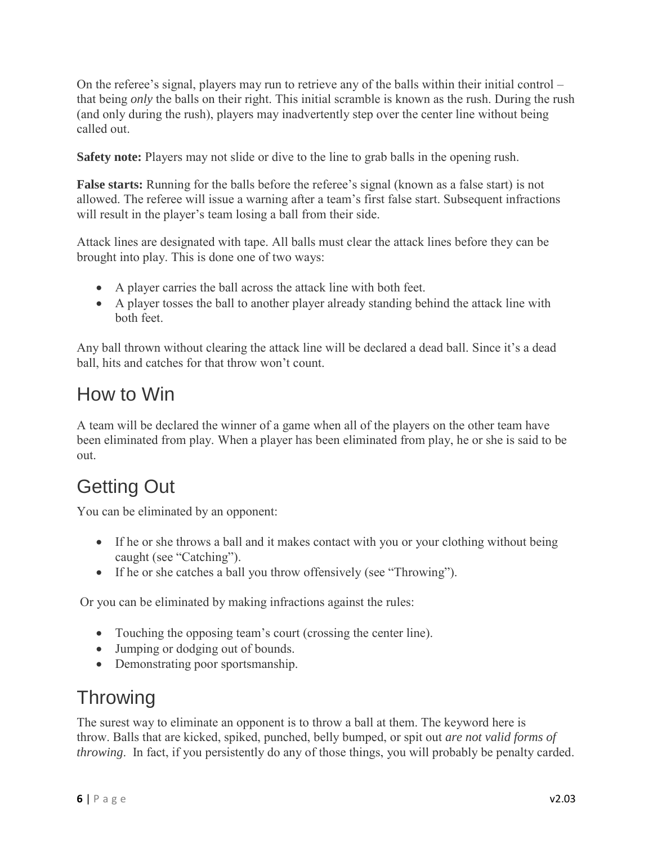On the referee's signal, players may run to retrieve any of the balls within their initial control – that being *only* the balls on their right. This initial scramble is known as the rush. During the rush (and only during the rush), players may inadvertently step over the center line without being called out.

**Safety note:** Players may not slide or dive to the line to grab balls in the opening rush.

**False starts:** Running for the balls before the referee's signal (known as a false start) is not allowed. The referee will issue a warning after a team's first false start. Subsequent infractions will result in the player's team losing a ball from their side.

Attack lines are designated with tape. All balls must clear the attack lines before they can be brought into play. This is done one of two ways:

- A player carries the ball across the attack line with both feet.
- A player tosses the ball to another player already standing behind the attack line with both feet.

Any ball thrown without clearing the attack line will be declared a dead ball. Since it's a dead ball, hits and catches for that throw won't count.

#### How to Win

A team will be declared the winner of a game when all of the players on the other team have been eliminated from play. When a player has been eliminated from play, he or she is said to be out.

# Getting Out

You can be eliminated by an opponent:

- If he or she throws a ball and it makes contact with you or your clothing without being caught (see "Catching").
- If he or she catches a ball you throw offensively (see "Throwing").

Or you can be eliminated by making infractions against the rules:

- Touching the opposing team's court (crossing the center line).
- Jumping or dodging out of bounds.
- Demonstrating poor sportsmanship.

#### **Throwing**

The surest way to eliminate an opponent is to throw a ball at them. The keyword here is throw. Balls that are kicked, spiked, punched, belly bumped, or spit out *are not valid forms of throwing*. In fact, if you persistently do any of those things, you will probably be penalty carded.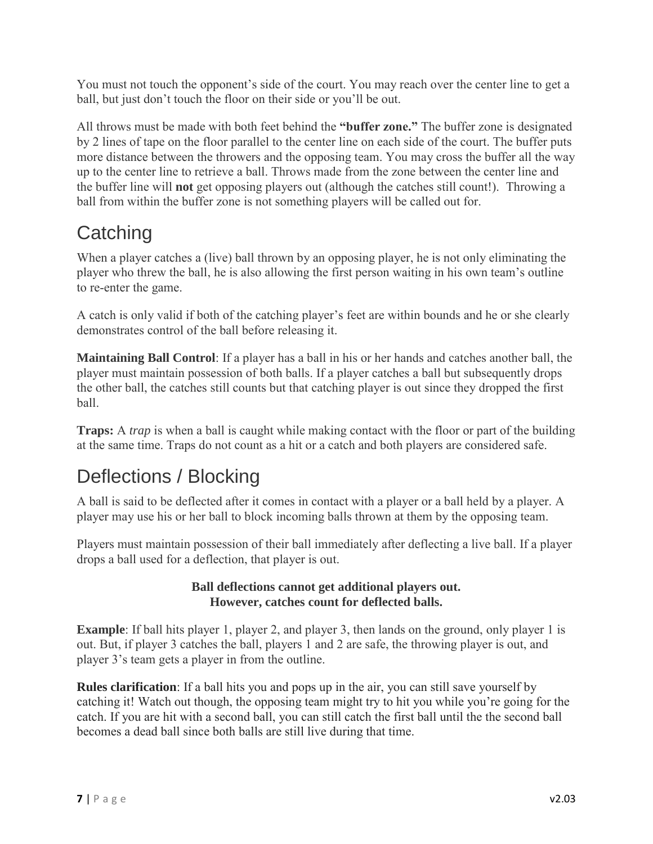You must not touch the opponent's side of the court. You may reach over the center line to get a ball, but just don't touch the floor on their side or you'll be out.

All throws must be made with both feet behind the **"buffer zone."** The buffer zone is designated by 2 lines of tape on the floor parallel to the center line on each side of the court. The buffer puts more distance between the throwers and the opposing team. You may cross the buffer all the way up to the center line to retrieve a ball. Throws made from the zone between the center line and the buffer line will **not** get opposing players out (although the catches still count!). Throwing a ball from within the buffer zone is not something players will be called out for.

# **Catching**

When a player catches a (live) ball thrown by an opposing player, he is not only eliminating the player who threw the ball, he is also allowing the first person waiting in his own team's outline to re-enter the game.

A catch is only valid if both of the catching player's feet are within bounds and he or she clearly demonstrates control of the ball before releasing it.

**Maintaining Ball Control**: If a player has a ball in his or her hands and catches another ball, the player must maintain possession of both balls. If a player catches a ball but subsequently drops the other ball, the catches still counts but that catching player is out since they dropped the first ball.

**Traps:** A *trap* is when a ball is caught while making contact with the floor or part of the building at the same time. Traps do not count as a hit or a catch and both players are considered safe.

### Deflections / Blocking

A ball is said to be deflected after it comes in contact with a player or a ball held by a player. A player may use his or her ball to block incoming balls thrown at them by the opposing team.

Players must maintain possession of their ball immediately after deflecting a live ball. If a player drops a ball used for a deflection, that player is out.

#### **Ball deflections cannot get additional players out. However, catches count for deflected balls.**

**Example**: If ball hits player 1, player 2, and player 3, then lands on the ground, only player 1 is out. But, if player 3 catches the ball, players 1 and 2 are safe, the throwing player is out, and player 3's team gets a player in from the outline.

**Rules clarification**: If a ball hits you and pops up in the air, you can still save yourself by catching it! Watch out though, the opposing team might try to hit you while you're going for the catch. If you are hit with a second ball, you can still catch the first ball until the the second ball becomes a dead ball since both balls are still live during that time.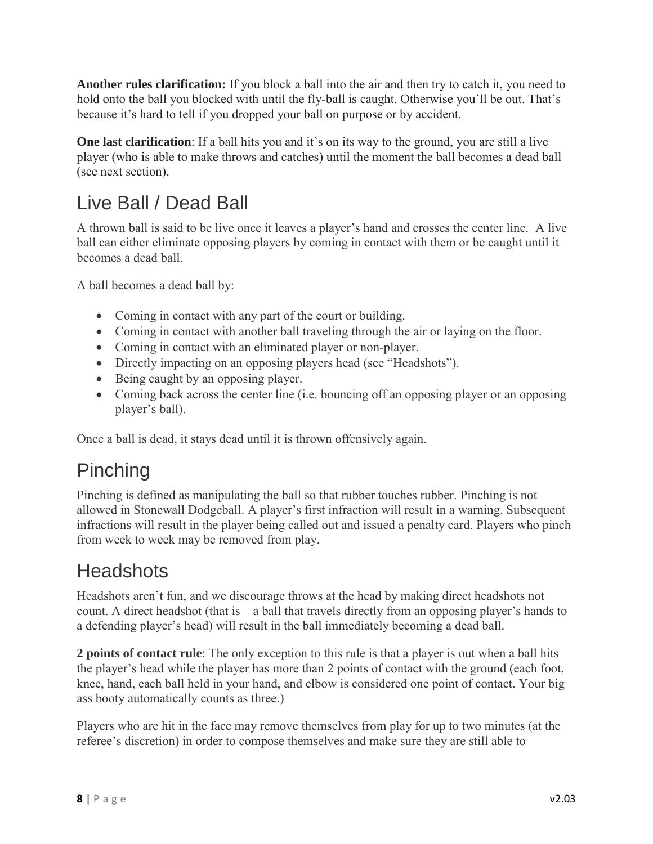**Another rules clarification:** If you block a ball into the air and then try to catch it, you need to hold onto the ball you blocked with until the fly-ball is caught. Otherwise you'll be out. That's because it's hard to tell if you dropped your ball on purpose or by accident.

**One last clarification**: If a ball hits you and it's on its way to the ground, you are still a live player (who is able to make throws and catches) until the moment the ball becomes a dead ball (see next section).

### Live Ball / Dead Ball

A thrown ball is said to be live once it leaves a player's hand and crosses the center line. A live ball can either eliminate opposing players by coming in contact with them or be caught until it becomes a dead ball.

A ball becomes a dead ball by:

- Coming in contact with any part of the court or building.
- Coming in contact with another ball traveling through the air or laying on the floor.
- Coming in contact with an eliminated player or non-player.
- Directly impacting on an opposing players head (see "Headshots").
- Being caught by an opposing player.
- Coming back across the center line (i.e. bouncing off an opposing player or an opposing player's ball).

Once a ball is dead, it stays dead until it is thrown offensively again.

### Pinching

Pinching is defined as manipulating the ball so that rubber touches rubber. Pinching is not allowed in Stonewall Dodgeball. A player's first infraction will result in a warning. Subsequent infractions will result in the player being called out and issued a penalty card. Players who pinch from week to week may be removed from play.

#### **Headshots**

Headshots aren't fun, and we discourage throws at the head by making direct headshots not count. A direct headshot (that is—a ball that travels directly from an opposing player's hands to a defending player's head) will result in the ball immediately becoming a dead ball.

**2 points of contact rule**: The only exception to this rule is that a player is out when a ball hits the player's head while the player has more than 2 points of contact with the ground (each foot, knee, hand, each ball held in your hand, and elbow is considered one point of contact. Your big ass booty automatically counts as three.)

Players who are hit in the face may remove themselves from play for up to two minutes (at the referee's discretion) in order to compose themselves and make sure they are still able to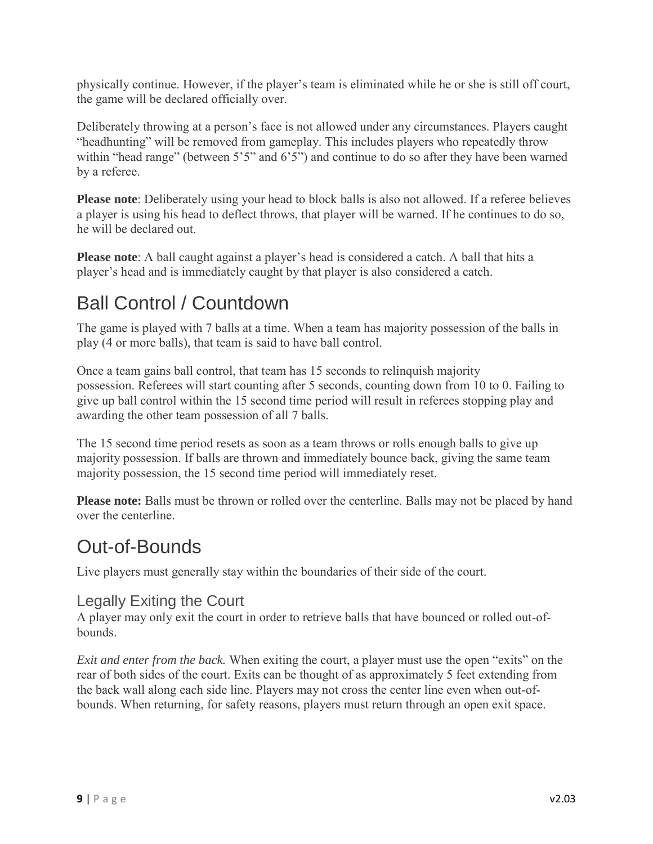physically continue. However, if the player's team is eliminated while he or she is still off court, the game will be declared officially over.

Deliberately throwing at a person's face is not allowed under any circumstances. Players caught "headhunting" will be removed from gameplay. This includes players who repeatedly throw within "head range" (between 5'5" and 6'5") and continue to do so after they have been warned by a referee.

**Please note**: Deliberately using your head to block balls is also not allowed. If a referee believes a player is using his head to deflect throws, that player will be warned. If he continues to do so, he will be declared out.

**Please note**: A ball caught against a player's head is considered a catch. A ball that hits a player's head and is immediately caught by that player is also considered a catch.

### Ball Control / Countdown

The game is played with 7 balls at a time. When a team has majority possession of the balls in play (4 or more balls), that team is said to have ball control.

Once a team gains ball control, that team has 15 seconds to relinquish majority possession. Referees will start counting after 5 seconds, counting down from 10 to 0. Failing to give up ball control within the 15 second time period will result in referees stopping play and awarding the other team possession of all 7 balls.

The 15 second time period resets as soon as a team throws or rolls enough balls to give up majority possession. If balls are thrown and immediately bounce back, giving the same team majority possession, the 15 second time period will immediately reset.

**Please note:** Balls must be thrown or rolled over the centerline. Balls may not be placed by hand over the centerline.

#### Out-of-Bounds

Live players must generally stay within the boundaries of their side of the court.

#### Legally Exiting the Court

A player may only exit the court in order to retrieve balls that have bounced or rolled out-ofbounds.

*Exit and enter from the back.* When exiting the court, a player must use the open "exits" on the rear of both sides of the court. Exits can be thought of as approximately 5 feet extending from the back wall along each side line. Players may not cross the center line even when out-ofbounds. When returning, for safety reasons, players must return through an open exit space.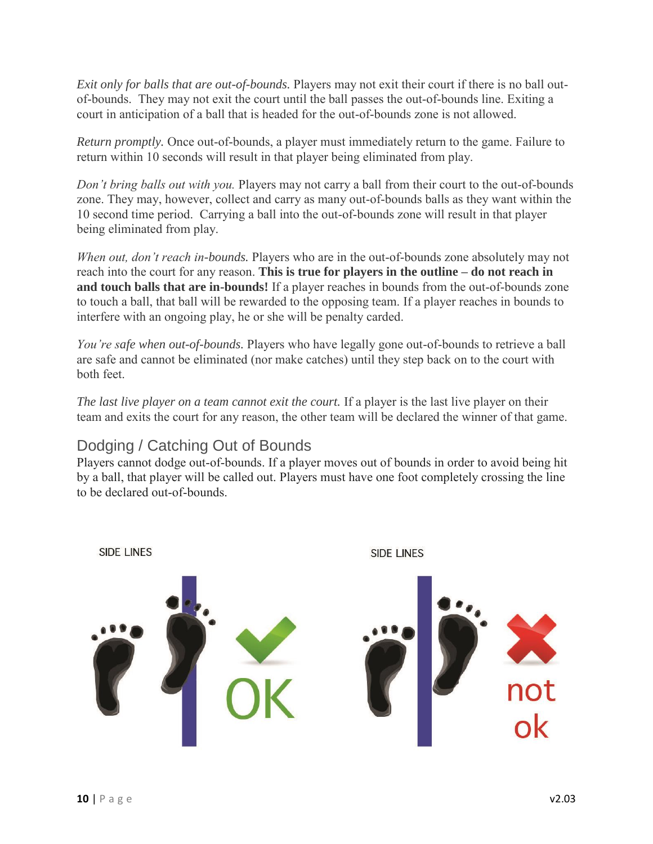*Exit only for balls that are out-of-bounds.* Players may not exit their court if there is no ball outof-bounds. They may not exit the court until the ball passes the out-of-bounds line. Exiting a court in anticipation of a ball that is headed for the out-of-bounds zone is not allowed.

*Return promptly.* Once out-of-bounds, a player must immediately return to the game. Failure to return within 10 seconds will result in that player being eliminated from play.

*Don't bring balls out with you.* Players may not carry a ball from their court to the out-of-bounds zone. They may, however, collect and carry as many out-of-bounds balls as they want within the 10 second time period. Carrying a ball into the out-of-bounds zone will result in that player being eliminated from play.

*When out, don't reach in-bounds.* Players who are in the out-of-bounds zone absolutely may not reach into the court for any reason. **This is true for players in the outline – do not reach in and touch balls that are in-bounds!** If a player reaches in bounds from the out-of-bounds zone to touch a ball, that ball will be rewarded to the opposing team. If a player reaches in bounds to interfere with an ongoing play, he or she will be penalty carded.

*You're safe when out-of-bounds.* Players who have legally gone out-of-bounds to retrieve a ball are safe and cannot be eliminated (nor make catches) until they step back on to the court with both feet.

*The last live player on a team cannot exit the court.* If a player is the last live player on their team and exits the court for any reason, the other team will be declared the winner of that game.

#### Dodging / Catching Out of Bounds

Players cannot dodge out-of-bounds. If a player moves out of bounds in order to avoid being hit by a ball, that player will be called out. Players must have one foot completely crossing the line to be declared out-of-bounds.

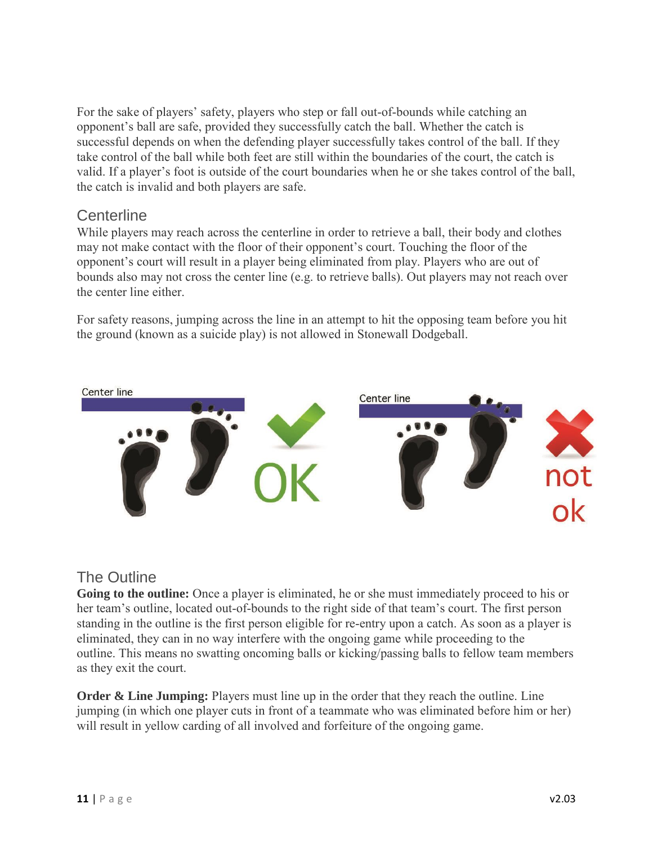For the sake of players' safety, players who step or fall out-of-bounds while catching an opponent's ball are safe, provided they successfully catch the ball. Whether the catch is successful depends on when the defending player successfully takes control of the ball. If they take control of the ball while both feet are still within the boundaries of the court, the catch is valid. If a player's foot is outside of the court boundaries when he or she takes control of the ball, the catch is invalid and both players are safe.

#### **Centerline**

While players may reach across the centerline in order to retrieve a ball, their body and clothes may not make contact with the floor of their opponent's court. Touching the floor of the opponent's court will result in a player being eliminated from play. Players who are out of bounds also may not cross the center line (e.g. to retrieve balls). Out players may not reach over the center line either.

For safety reasons, jumping across the line in an attempt to hit the opposing team before you hit the ground (known as a suicide play) is not allowed in Stonewall Dodgeball.



#### The Outline

**Going to the outline:** Once a player is eliminated, he or she must immediately proceed to his or her team's outline, located out-of-bounds to the right side of that team's court. The first person standing in the outline is the first person eligible for re-entry upon a catch. As soon as a player is eliminated, they can in no way interfere with the ongoing game while proceeding to the outline. This means no swatting oncoming balls or kicking/passing balls to fellow team members as they exit the court.

**Order & Line Jumping:** Players must line up in the order that they reach the outline. Line jumping (in which one player cuts in front of a teammate who was eliminated before him or her) will result in yellow carding of all involved and forfeiture of the ongoing game.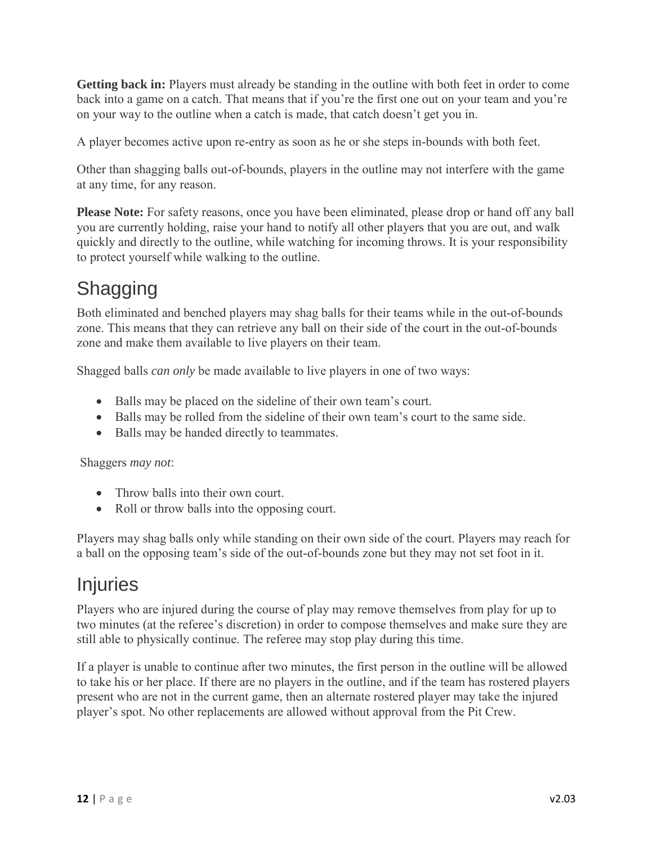**Getting back in:** Players must already be standing in the outline with both feet in order to come back into a game on a catch. That means that if you're the first one out on your team and you're on your way to the outline when a catch is made, that catch doesn't get you in.

A player becomes active upon re-entry as soon as he or she steps in-bounds with both feet.

Other than shagging balls out-of-bounds, players in the outline may not interfere with the game at any time, for any reason.

**Please Note:** For safety reasons, once you have been eliminated, please drop or hand off any ball you are currently holding, raise your hand to notify all other players that you are out, and walk quickly and directly to the outline, while watching for incoming throws. It is your responsibility to protect yourself while walking to the outline.

### Shagging

Both eliminated and benched players may shag balls for their teams while in the out-of-bounds zone. This means that they can retrieve any ball on their side of the court in the out-of-bounds zone and make them available to live players on their team.

Shagged balls *can only* be made available to live players in one of two ways:

- Balls may be placed on the sideline of their own team's court.
- Balls may be rolled from the sideline of their own team's court to the same side.
- Balls may be handed directly to teammates.

#### Shaggers *may not*:

- Throw balls into their own court.
- Roll or throw balls into the opposing court.

Players may shag balls only while standing on their own side of the court. Players may reach for a ball on the opposing team's side of the out-of-bounds zone but they may not set foot in it.

#### **Injuries**

Players who are injured during the course of play may remove themselves from play for up to two minutes (at the referee's discretion) in order to compose themselves and make sure they are still able to physically continue. The referee may stop play during this time.

If a player is unable to continue after two minutes, the first person in the outline will be allowed to take his or her place. If there are no players in the outline, and if the team has rostered players present who are not in the current game, then an alternate rostered player may take the injured player's spot. No other replacements are allowed without approval from the Pit Crew.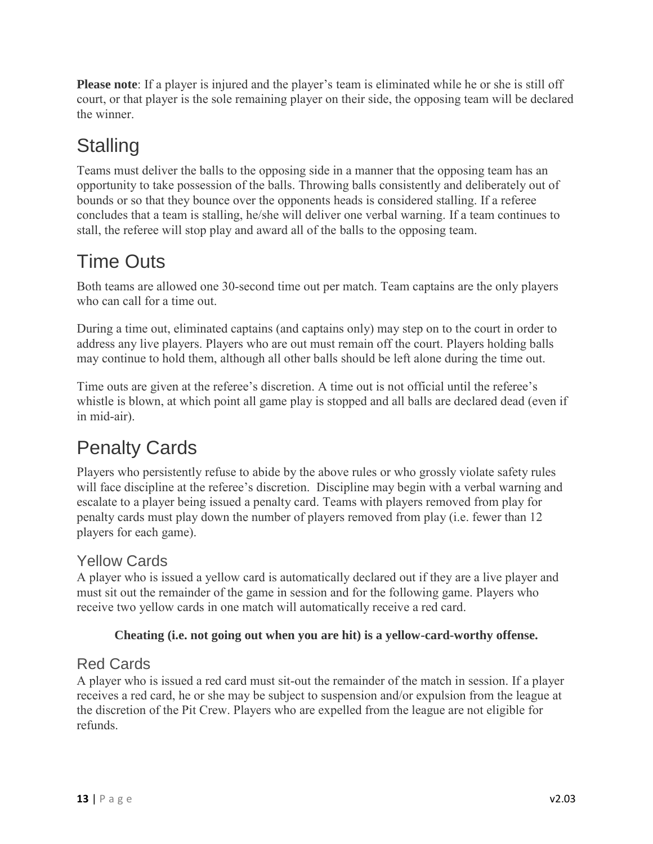**Please note**: If a player is injured and the player's team is eliminated while he or she is still off court, or that player is the sole remaining player on their side, the opposing team will be declared the winner.

# **Stalling**

Teams must deliver the balls to the opposing side in a manner that the opposing team has an opportunity to take possession of the balls. Throwing balls consistently and deliberately out of bounds or so that they bounce over the opponents heads is considered stalling. If a referee concludes that a team is stalling, he/she will deliver one verbal warning. If a team continues to stall, the referee will stop play and award all of the balls to the opposing team.

# Time Outs

Both teams are allowed one 30-second time out per match. Team captains are the only players who can call for a time out.

During a time out, eliminated captains (and captains only) may step on to the court in order to address any live players. Players who are out must remain off the court. Players holding balls may continue to hold them, although all other balls should be left alone during the time out.

Time outs are given at the referee's discretion. A time out is not official until the referee's whistle is blown, at which point all game play is stopped and all balls are declared dead (even if in mid-air).

# Penalty Cards

Players who persistently refuse to abide by the above rules or who grossly violate safety rules will face discipline at the referee's discretion. Discipline may begin with a verbal warning and escalate to a player being issued a penalty card. Teams with players removed from play for penalty cards must play down the number of players removed from play (i.e. fewer than 12 players for each game).

#### Yellow Cards

A player who is issued a yellow card is automatically declared out if they are a live player and must sit out the remainder of the game in session and for the following game. Players who receive two yellow cards in one match will automatically receive a red card.

#### **Cheating (i.e. not going out when you are hit) is a yellow-card-worthy offense.**

#### Red Cards

A player who is issued a red card must sit-out the remainder of the match in session. If a player receives a red card, he or she may be subject to suspension and/or expulsion from the league at the discretion of the Pit Crew. Players who are expelled from the league are not eligible for refunds.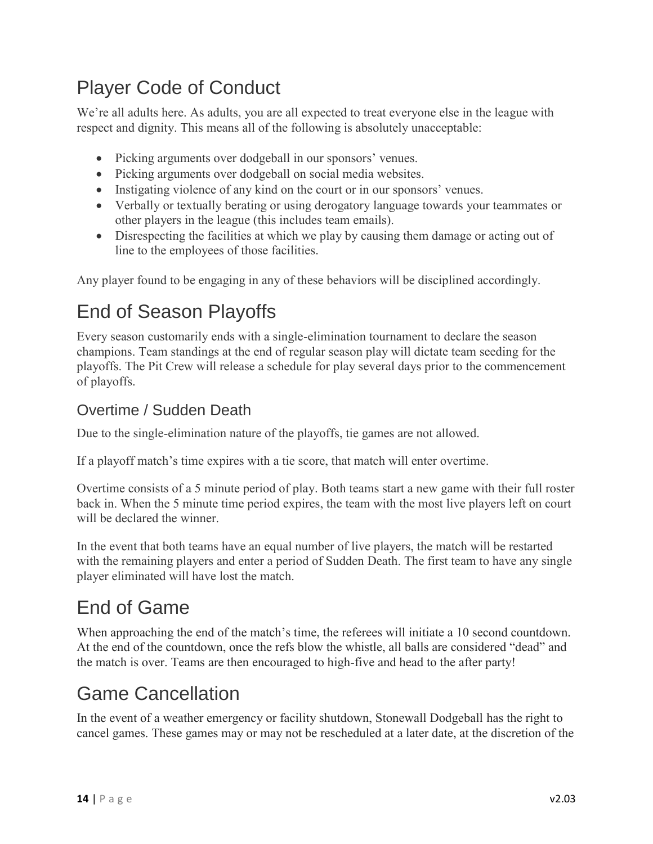### Player Code of Conduct

We're all adults here. As adults, you are all expected to treat everyone else in the league with respect and dignity. This means all of the following is absolutely unacceptable:

- Picking arguments over dodgeball in our sponsors' venues.
- Picking arguments over dodgeball on social media websites.
- Instigating violence of any kind on the court or in our sponsors' venues.
- Verbally or textually berating or using derogatory language towards your teammates or other players in the league (this includes team emails).
- Disrespecting the facilities at which we play by causing them damage or acting out of line to the employees of those facilities.

Any player found to be engaging in any of these behaviors will be disciplined accordingly.

### End of Season Playoffs

Every season customarily ends with a single-elimination tournament to declare the season champions. Team standings at the end of regular season play will dictate team seeding for the playoffs. The Pit Crew will release a schedule for play several days prior to the commencement of playoffs.

#### Overtime / Sudden Death

Due to the single-elimination nature of the playoffs, tie games are not allowed.

If a playoff match's time expires with a tie score, that match will enter overtime.

Overtime consists of a 5 minute period of play. Both teams start a new game with their full roster back in. When the 5 minute time period expires, the team with the most live players left on court will be declared the winner.

In the event that both teams have an equal number of live players, the match will be restarted with the remaining players and enter a period of Sudden Death. The first team to have any single player eliminated will have lost the match.

### End of Game

When approaching the end of the match's time, the referees will initiate a 10 second countdown. At the end of the countdown, once the refs blow the whistle, all balls are considered "dead" and the match is over. Teams are then encouraged to high-five and head to the after party!

#### Game Cancellation

In the event of a weather emergency or facility shutdown, Stonewall Dodgeball has the right to cancel games. These games may or may not be rescheduled at a later date, at the discretion of the